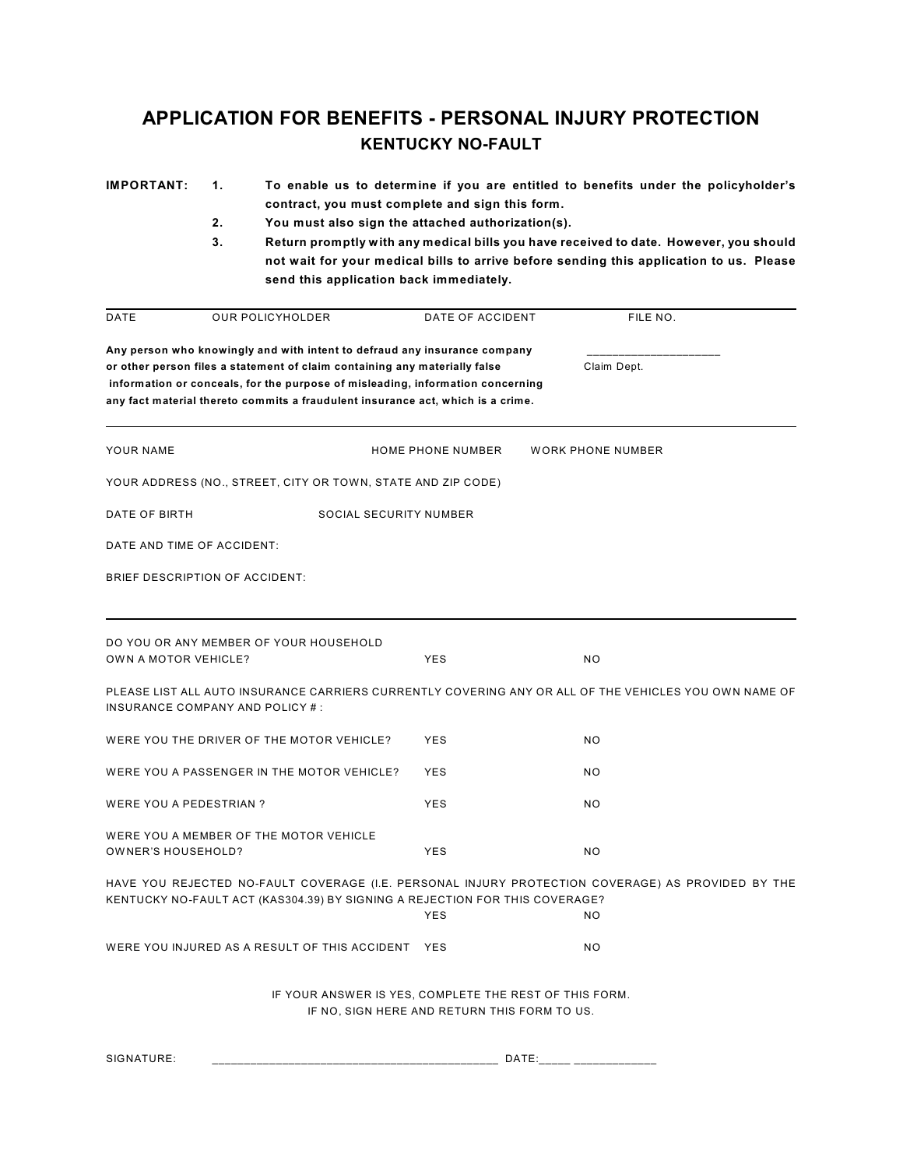## **APPLICATION FOR BENEFITS - PERSONAL INJURY PROTECTION KENTUCKY NO-FAULT**

| <b>IMPORTANT:</b>               | 1.<br>2.<br>3.                | contract, you must complete and sign this form.<br>You must also sign the attached authorization(s).                                                                                                                                            |                          | To enable us to determine if you are entitled to benefits under the policyholder's<br>Return promptly with any medical bills you have received to date. However, you should |                                                                                                          |  |  |  |
|---------------------------------|-------------------------------|-------------------------------------------------------------------------------------------------------------------------------------------------------------------------------------------------------------------------------------------------|--------------------------|-----------------------------------------------------------------------------------------------------------------------------------------------------------------------------|----------------------------------------------------------------------------------------------------------|--|--|--|
|                                 |                               | not wait for your medical bills to arrive before sending this application to us. Please<br>send this application back immediately.                                                                                                              |                          |                                                                                                                                                                             |                                                                                                          |  |  |  |
| DATE                            |                               | <b>OUR POLICYHOLDER</b>                                                                                                                                                                                                                         | DATE OF ACCIDENT         |                                                                                                                                                                             | FILE NO.                                                                                                 |  |  |  |
|                                 |                               | Any person who knowingly and with intent to defraud any insurance company                                                                                                                                                                       |                          |                                                                                                                                                                             |                                                                                                          |  |  |  |
|                                 |                               | or other person files a statement of claim containing any materially false<br>information or conceals, for the purpose of misleading, information concerning<br>any fact material thereto commits a fraudulent insurance act, which is a crime. |                          |                                                                                                                                                                             | Claim Dept.                                                                                              |  |  |  |
| YOUR NAME                       |                               |                                                                                                                                                                                                                                                 | <b>HOME PHONE NUMBER</b> |                                                                                                                                                                             | <b>WORK PHONE NUMBER</b>                                                                                 |  |  |  |
|                                 |                               | YOUR ADDRESS (NO., STREET, CITY OR TOWN, STATE AND ZIP CODE)                                                                                                                                                                                    |                          |                                                                                                                                                                             |                                                                                                          |  |  |  |
| DATE OF BIRTH                   | <b>SOCIAL SECURITY NUMBER</b> |                                                                                                                                                                                                                                                 |                          |                                                                                                                                                                             |                                                                                                          |  |  |  |
| DATE AND TIME OF ACCIDENT:      |                               |                                                                                                                                                                                                                                                 |                          |                                                                                                                                                                             |                                                                                                          |  |  |  |
| BRIEF DESCRIPTION OF ACCIDENT:  |                               |                                                                                                                                                                                                                                                 |                          |                                                                                                                                                                             |                                                                                                          |  |  |  |
|                                 |                               |                                                                                                                                                                                                                                                 |                          |                                                                                                                                                                             |                                                                                                          |  |  |  |
| OWN A MOTOR VEHICLE?            |                               | DO YOU OR ANY MEMBER OF YOUR HOUSEHOLD                                                                                                                                                                                                          | YES                      |                                                                                                                                                                             | <b>NO</b>                                                                                                |  |  |  |
| INSURANCE COMPANY AND POLICY #: |                               |                                                                                                                                                                                                                                                 |                          |                                                                                                                                                                             | PLEASE LIST ALL AUTO INSURANCE CARRIERS CURRENTLY COVERING ANY OR ALL OF THE VEHICLES YOU OWN NAME OF    |  |  |  |
|                                 |                               | WERE YOU THE DRIVER OF THE MOTOR VEHICLE?                                                                                                                                                                                                       | <b>YES</b>               |                                                                                                                                                                             | <b>NO</b>                                                                                                |  |  |  |
|                                 |                               | WERE YOU A PASSENGER IN THE MOTOR VEHICLE?                                                                                                                                                                                                      | <b>YES</b>               |                                                                                                                                                                             | NO.                                                                                                      |  |  |  |
| <b>WERE YOU A PEDESTRIAN?</b>   |                               |                                                                                                                                                                                                                                                 | <b>YES</b>               |                                                                                                                                                                             | <b>NO</b>                                                                                                |  |  |  |
| OWNER'S HOUSEHOLD?              |                               | WERE YOU A MEMBER OF THE MOTOR VEHICLE                                                                                                                                                                                                          | <b>YES</b>               |                                                                                                                                                                             | <b>NO</b>                                                                                                |  |  |  |
|                                 |                               | KENTUCKY NO-FAULT ACT (KAS304.39) BY SIGNING A REJECTION FOR THIS COVERAGE?                                                                                                                                                                     | <b>YES</b>               |                                                                                                                                                                             | HAVE YOU REJECTED NO-FAULT COVERAGE (I.E. PERSONAL INJURY PROTECTION COVERAGE) AS PROVIDED BY THE<br>NO. |  |  |  |
|                                 |                               | WERE YOU INJURED AS A RESULT OF THIS ACCIDENT                                                                                                                                                                                                   | YES                      |                                                                                                                                                                             | NO.                                                                                                      |  |  |  |
|                                 |                               | IF YOUR ANSWER IS YES, COMPLETE THE REST OF THIS FORM.<br>IF NO, SIGN HERE AND RETURN THIS FORM TO US.                                                                                                                                          |                          |                                                                                                                                                                             |                                                                                                          |  |  |  |

SIGNATURE: \_\_\_\_\_\_\_\_\_\_\_\_\_\_\_\_\_\_\_\_\_\_\_\_\_\_\_\_\_\_\_\_\_\_\_\_\_\_\_\_\_\_\_\_\_ DATE:\_\_\_\_\_ \_\_\_\_\_\_\_\_\_\_\_\_\_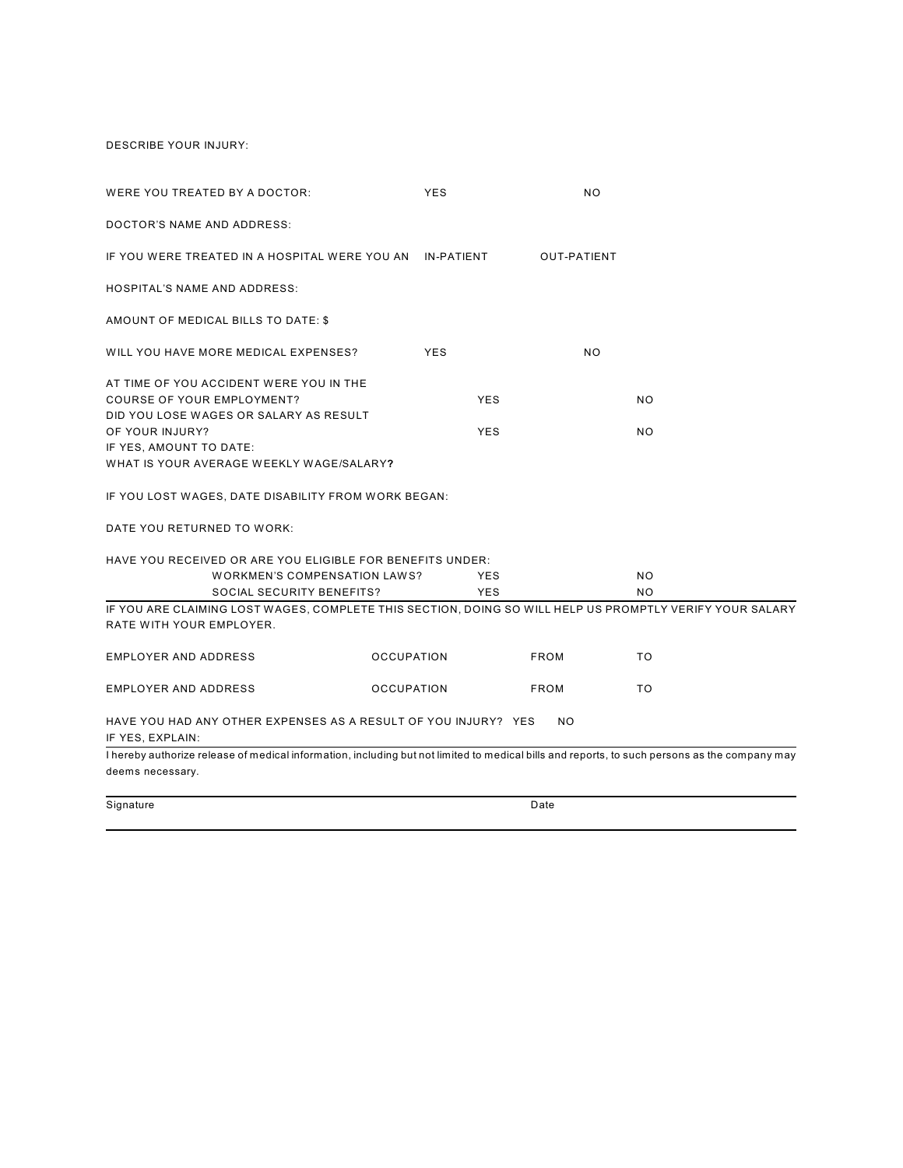DESCRIBE YOUR INJURY:

| WERE YOU TREATED BY A DOCTOR:                                                                                                                 | <b>YES</b>        | NO                 |           |  |  |  |  |  |  |
|-----------------------------------------------------------------------------------------------------------------------------------------------|-------------------|--------------------|-----------|--|--|--|--|--|--|
| DOCTOR'S NAME AND ADDRESS:                                                                                                                    |                   |                    |           |  |  |  |  |  |  |
| IF YOU WERE TREATED IN A HOSPITAL WERE YOU AN                                                                                                 | <b>IN-PATIENT</b> | <b>OUT-PATIENT</b> |           |  |  |  |  |  |  |
| <b>HOSPITAL'S NAME AND ADDRESS:</b>                                                                                                           |                   |                    |           |  |  |  |  |  |  |
| AMOUNT OF MEDICAL BILLS TO DATE: \$                                                                                                           |                   |                    |           |  |  |  |  |  |  |
| WILL YOU HAVE MORE MEDICAL EXPENSES?                                                                                                          | <b>YES</b>        | <b>NO</b>          |           |  |  |  |  |  |  |
| AT TIME OF YOU ACCIDENT WERE YOU IN THE                                                                                                       |                   |                    |           |  |  |  |  |  |  |
| COURSE OF YOUR EMPLOYMENT?                                                                                                                    | <b>YES</b>        |                    | <b>NO</b> |  |  |  |  |  |  |
| DID YOU LOSE WAGES OR SALARY AS RESULT                                                                                                        |                   |                    |           |  |  |  |  |  |  |
| OF YOUR INJURY?                                                                                                                               | <b>YES</b>        |                    | <b>NO</b> |  |  |  |  |  |  |
| IF YES, AMOUNT TO DATE:                                                                                                                       |                   |                    |           |  |  |  |  |  |  |
| WHAT IS YOUR AVERAGE WEEKLY WAGE/SALARY?                                                                                                      |                   |                    |           |  |  |  |  |  |  |
| IF YOU LOST WAGES, DATE DISABILITY FROM WORK BEGAN:                                                                                           |                   |                    |           |  |  |  |  |  |  |
| DATE YOU RETURNED TO WORK:                                                                                                                    |                   |                    |           |  |  |  |  |  |  |
| HAVE YOU RECEIVED OR ARE YOU ELIGIBLE FOR BENEFITS UNDER:                                                                                     |                   |                    |           |  |  |  |  |  |  |
| <b>WORKMEN'S COMPENSATION LAWS?</b>                                                                                                           | <b>YES</b>        |                    | NO.       |  |  |  |  |  |  |
| <b>SOCIAL SECURITY BENEFITS?</b>                                                                                                              | <b>YES</b>        |                    | <b>NO</b> |  |  |  |  |  |  |
| IF YOU ARE CLAIMING LOST WAGES, COMPLETE THIS SECTION, DOING SO WILL HELP US PROMPTLY VERIFY YOUR SALARY                                      |                   |                    |           |  |  |  |  |  |  |
| RATE WITH YOUR EMPLOYER.                                                                                                                      |                   |                    |           |  |  |  |  |  |  |
| <b>EMPLOYER AND ADDRESS</b>                                                                                                                   | <b>OCCUPATION</b> | <b>FROM</b>        | <b>TO</b> |  |  |  |  |  |  |
| <b>EMPLOYER AND ADDRESS</b>                                                                                                                   | <b>OCCUPATION</b> | <b>FROM</b>        | <b>TO</b> |  |  |  |  |  |  |
| HAVE YOU HAD ANY OTHER EXPENSES AS A RESULT OF YOU INJURY? YES<br><b>NO</b><br>IF YES, EXPLAIN:                                               |                   |                    |           |  |  |  |  |  |  |
| I hereby authorize release of medical information, including but not limited to medical bills and reports, to such persons as the company may |                   |                    |           |  |  |  |  |  |  |
| deems necessary.                                                                                                                              |                   |                    |           |  |  |  |  |  |  |
| Signature                                                                                                                                     |                   | Date               |           |  |  |  |  |  |  |
|                                                                                                                                               |                   |                    |           |  |  |  |  |  |  |